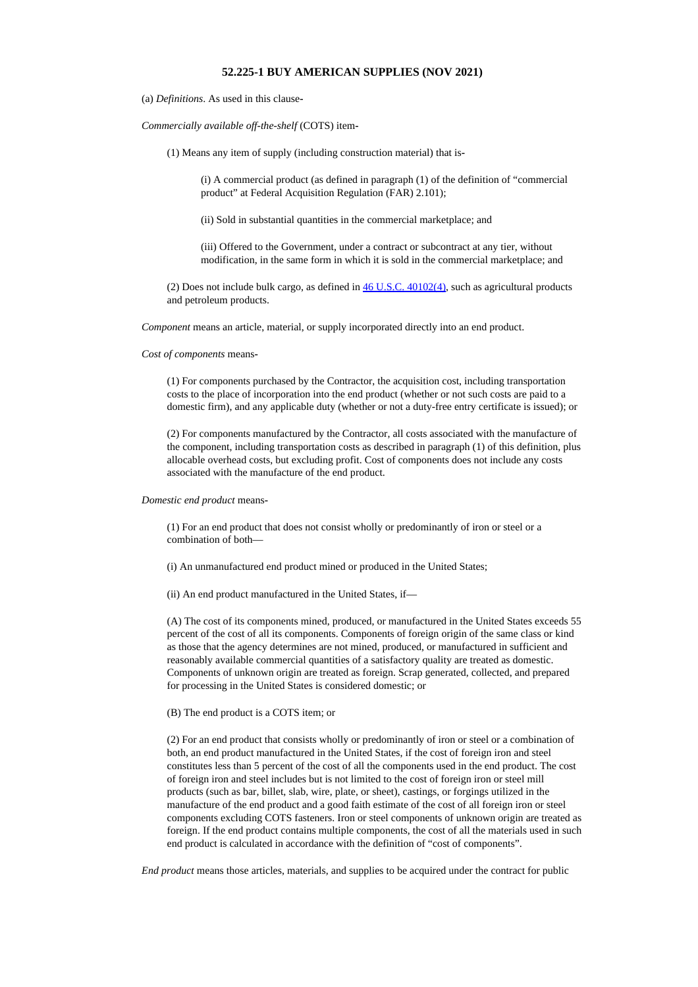## **52.225-1 BUY AMERICAN SUPPLIES (NOV 2021)**

(a) *Definitions*. As used in this clause**-**

*Commercially available off-the-shelf* (COTS) item**-**

(1) Means any item of supply (including construction material) that is**-**

(i) A commercial product (as defined in paragraph (1) of the definition of "commercial product" at Federal Acquisition Regulation (FAR) 2.101);

(ii) Sold in substantial quantities in the commercial marketplace; and

(iii) Offered to the Government, under a contract or subcontract at any tier, without modification, in the same form in which it is sold in the commercial marketplace; and

(2) Does not include bulk cargo, as defined in  $46$  U.S.C.  $40102(4)$ , such as agricultural products and petroleum products.

*Component* means an article, material, or supply incorporated directly into an end product.

*Cost of components* means**-**

(1) For components purchased by the Contractor, the acquisition cost, including transportation costs to the place of incorporation into the end product (whether or not such costs are paid to a domestic firm), and any applicable duty (whether or not a duty-free entry certificate is issued); or

(2) For components manufactured by the Contractor, all costs associated with the manufacture of the component, including transportation costs as described in paragraph (1) of this definition, plus allocable overhead costs, but excluding profit. Cost of components does not include any costs associated with the manufacture of the end product.

## *Domestic end product* means**-**

(1) For an end product that does not consist wholly or predominantly of iron or steel or a combination of both—

(i) An unmanufactured end product mined or produced in the United States;

(ii) An end product manufactured in the United States, if—

(A) The cost of its components mined, produced, or manufactured in the United States exceeds 55 percent of the cost of all its components. Components of foreign origin of the same class or kind as those that the agency determines are not mined, produced, or manufactured in sufficient and reasonably available commercial quantities of a satisfactory quality are treated as domestic. Components of unknown origin are treated as foreign. Scrap generated, collected, and prepared for processing in the United States is considered domestic; or

## (B) The end product is a COTS item; or

(2) For an end product that consists wholly or predominantly of iron or steel or a combination of both, an end product manufactured in the United States, if the cost of foreign iron and steel constitutes less than 5 percent of the cost of all the components used in the end product. The cost of foreign iron and steel includes but is not limited to the cost of foreign iron or steel mill products (such as bar, billet, slab, wire, plate, or sheet), castings, or forgings utilized in the manufacture of the end product and a good faith estimate of the cost of all foreign iron or steel components excluding COTS fasteners. Iron or steel components of unknown origin are treated as foreign. If the end product contains multiple components, the cost of all the materials used in such end product is calculated in accordance with the definition of "cost of components".

*End product* means those articles, materials, and supplies to be acquired under the contract for public